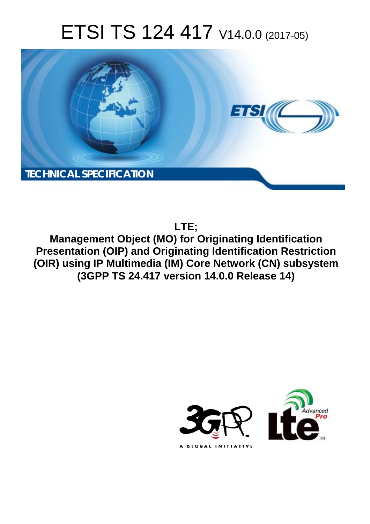# ETSI TS 124 417 V14.0.0 (2017-05)



**LTE;**

**Management Object (MO) for Originating Identification Presentation (OIP) and Originating Identification Restriction (OIR) using IP Multimedia (IM) Core Network (CN) subsystem (3GPP TS 24.417 version 14.0.0 Release 14)** 

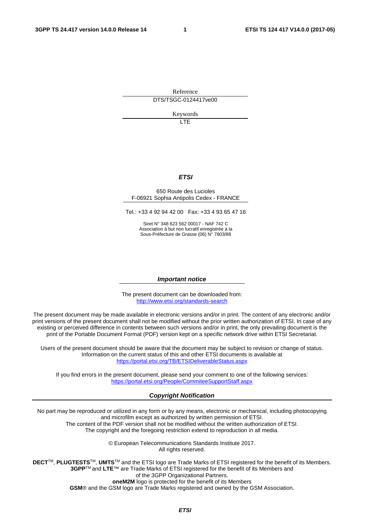Reference DTS/TSGC-0124417ve00

Keywords

LTE

#### *ETSI*

#### 650 Route des Lucioles F-06921 Sophia Antipolis Cedex - FRANCE

Tel.: +33 4 92 94 42 00 Fax: +33 4 93 65 47 16

Siret N° 348 623 562 00017 - NAF 742 C Association à but non lucratif enregistrée à la Sous-Préfecture de Grasse (06) N° 7803/88

#### *Important notice*

The present document can be downloaded from: <http://www.etsi.org/standards-search>

The present document may be made available in electronic versions and/or in print. The content of any electronic and/or print versions of the present document shall not be modified without the prior written authorization of ETSI. In case of any existing or perceived difference in contents between such versions and/or in print, the only prevailing document is the print of the Portable Document Format (PDF) version kept on a specific network drive within ETSI Secretariat.

Users of the present document should be aware that the document may be subject to revision or change of status. Information on the current status of this and other ETSI documents is available at <https://portal.etsi.org/TB/ETSIDeliverableStatus.aspx>

If you find errors in the present document, please send your comment to one of the following services: <https://portal.etsi.org/People/CommiteeSupportStaff.aspx>

#### *Copyright Notification*

No part may be reproduced or utilized in any form or by any means, electronic or mechanical, including photocopying and microfilm except as authorized by written permission of ETSI.

The content of the PDF version shall not be modified without the written authorization of ETSI. The copyright and the foregoing restriction extend to reproduction in all media.

> © European Telecommunications Standards Institute 2017. All rights reserved.

**DECT**TM, **PLUGTESTS**TM, **UMTS**TM and the ETSI logo are Trade Marks of ETSI registered for the benefit of its Members. **3GPP**TM and **LTE**™ are Trade Marks of ETSI registered for the benefit of its Members and of the 3GPP Organizational Partners.

**oneM2M** logo is protected for the benefit of its Members

**GSM**® and the GSM logo are Trade Marks registered and owned by the GSM Association.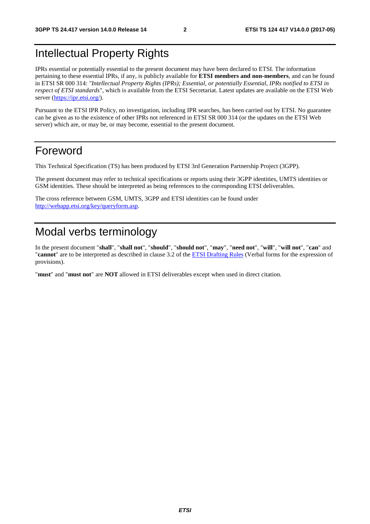# Intellectual Property Rights

IPRs essential or potentially essential to the present document may have been declared to ETSI. The information pertaining to these essential IPRs, if any, is publicly available for **ETSI members and non-members**, and can be found in ETSI SR 000 314: *"Intellectual Property Rights (IPRs); Essential, or potentially Essential, IPRs notified to ETSI in respect of ETSI standards"*, which is available from the ETSI Secretariat. Latest updates are available on the ETSI Web server ([https://ipr.etsi.org/\)](https://ipr.etsi.org/).

Pursuant to the ETSI IPR Policy, no investigation, including IPR searches, has been carried out by ETSI. No guarantee can be given as to the existence of other IPRs not referenced in ETSI SR 000 314 (or the updates on the ETSI Web server) which are, or may be, or may become, essential to the present document.

### Foreword

This Technical Specification (TS) has been produced by ETSI 3rd Generation Partnership Project (3GPP).

The present document may refer to technical specifications or reports using their 3GPP identities, UMTS identities or GSM identities. These should be interpreted as being references to the corresponding ETSI deliverables.

The cross reference between GSM, UMTS, 3GPP and ETSI identities can be found under [http://webapp.etsi.org/key/queryform.asp.](http://webapp.etsi.org/key/queryform.asp)

## Modal verbs terminology

In the present document "**shall**", "**shall not**", "**should**", "**should not**", "**may**", "**need not**", "**will**", "**will not**", "**can**" and "**cannot**" are to be interpreted as described in clause 3.2 of the [ETSI Drafting Rules](https://portal.etsi.org/Services/editHelp!/Howtostart/ETSIDraftingRules.aspx) (Verbal forms for the expression of provisions).

"**must**" and "**must not**" are **NOT** allowed in ETSI deliverables except when used in direct citation.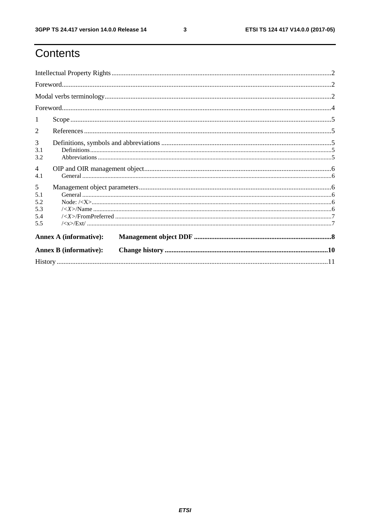# Contents

| 1                                    |  |  |  |  |  |
|--------------------------------------|--|--|--|--|--|
| 2                                    |  |  |  |  |  |
| 3<br>3.1<br>3.2                      |  |  |  |  |  |
| $\overline{4}$<br>4.1                |  |  |  |  |  |
| 5<br>5.1<br>5.2<br>5.3<br>5.4<br>5.5 |  |  |  |  |  |
| <b>Annex A (informative):</b>        |  |  |  |  |  |
| <b>Annex B</b> (informative):        |  |  |  |  |  |
|                                      |  |  |  |  |  |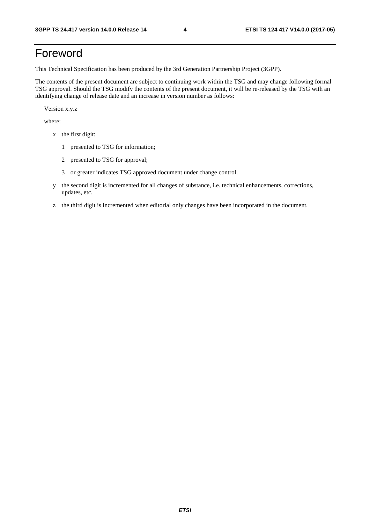# Foreword

This Technical Specification has been produced by the 3rd Generation Partnership Project (3GPP).

The contents of the present document are subject to continuing work within the TSG and may change following formal TSG approval. Should the TSG modify the contents of the present document, it will be re-released by the TSG with an identifying change of release date and an increase in version number as follows:

Version x.y.z

where:

- x the first digit:
	- 1 presented to TSG for information;
	- 2 presented to TSG for approval;
	- 3 or greater indicates TSG approved document under change control.
- y the second digit is incremented for all changes of substance, i.e. technical enhancements, corrections, updates, etc.
- z the third digit is incremented when editorial only changes have been incorporated in the document.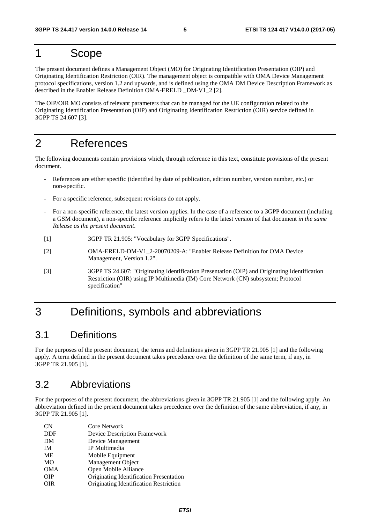### 1 Scope

The present document defines a Management Object (MO) for Originating Identification Presentation (OIP) and Originating Identification Restriction (OIR). The management object is compatible with OMA Device Management protocol specifications, version 1.2 and upwards, and is defined using the OMA DM Device Description Framework as described in the Enabler Release Definition OMA-ERELD \_DM-V1\_2 [2].

The OIP/OIR MO consists of relevant parameters that can be managed for the UE configuration related to the Originating Identification Presentation (OIP) and Originating Identification Restriction (OIR) service defined in 3GPP TS 24.607 [3].

### 2 References

The following documents contain provisions which, through reference in this text, constitute provisions of the present document.

- References are either specific (identified by date of publication, edition number, version number, etc.) or non-specific.
- For a specific reference, subsequent revisions do not apply.
- For a non-specific reference, the latest version applies. In the case of a reference to a 3GPP document (including a GSM document), a non-specific reference implicitly refers to the latest version of that document *in the same Release as the present document*.
- [1] 3GPP TR 21.905: "Vocabulary for 3GPP Specifications".
- [2] OMA-ERELD-DM-V1\_2-20070209-A: "Enabler Release Definition for OMA Device Management, Version 1.2".
- [3] 3GPP TS 24.607: "Originating Identification Presentation (OIP) and Originating Identification Restriction (OIR) using IP Multimedia (IM) Core Network (CN) subsystem; Protocol specification"

# 3 Definitions, symbols and abbreviations

#### 3.1 Definitions

For the purposes of the present document, the terms and definitions given in 3GPP TR 21.905 [1] and the following apply. A term defined in the present document takes precedence over the definition of the same term, if any, in 3GPP TR 21.905 [1].

#### 3.2 Abbreviations

For the purposes of the present document, the abbreviations given in 3GPP TR 21.905 [1] and the following apply. An abbreviation defined in the present document takes precedence over the definition of the same abbreviation, if any, in 3GPP TR 21.905 [1].

| CN         | <b>Core Network</b>                     |
|------------|-----------------------------------------|
| <b>DDF</b> | Device Description Framework            |
| DM         | Device Management                       |
| IM.        | IP Multimedia                           |
| <b>ME</b>  | Mobile Equipment                        |
| MO         | Management Object                       |
| <b>OMA</b> | Open Mobile Alliance                    |
| <b>OIP</b> | Originating Identification Presentation |
| OIR        | Originating Identification Restriction  |
|            |                                         |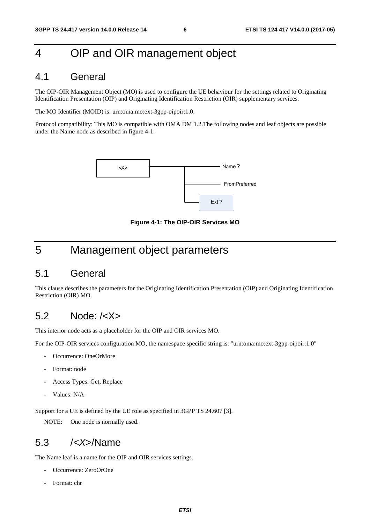# 4 OIP and OIR management object

#### 4.1 General

The OIP-OIR Management Object (MO) is used to configure the UE behaviour for the settings related to Originating Identification Presentation (OIP) and Originating Identification Restriction (OIR) supplementary services.

The MO Identifier (MOID) is: urn:oma:mo:ext-3gpp-oipoir:1.0.

Protocol compatibility: This MO is compatible with OMA DM 1.2.The following nodes and leaf objects are possible under the Name node as described in figure 4-1:



**Figure 4-1: The OIP-OIR Services MO** 

# 5 Management object parameters

#### 5.1 General

This clause describes the parameters for the Originating Identification Presentation (OIP) and Originating Identification Restriction (OIR) MO.

#### 5.2 Node: /<X>

This interior node acts as a placeholder for the OIP and OIR services MO.

For the OIP-OIR services configuration MO, the namespace specific string is: "urn:oma:mo:ext-3gpp-oipoir:1.0"

- Occurrence: OneOrMore
- Format: node
- Access Types: Get, Replace
- Values: N/A

Support for a UE is defined by the UE role as specified in 3GPP TS 24.607 [3].

NOTE: One node is normally used.

#### 5.3 /*<X>*/Name

The Name leaf is a name for the OIP and OIR services settings.

- Occurrence: ZeroOrOne
- Format: chr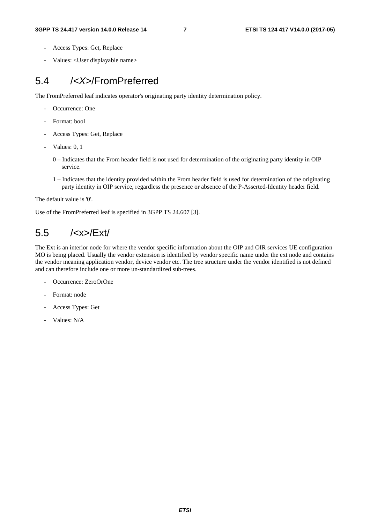- Access Types: Get, Replace
- Values: <User displayable name>

### 5.4 /*<X>*/FromPreferred

The FromPreferred leaf indicates operator's originating party identity determination policy.

- Occurrence: One
- Format: bool
- Access Types: Get, Replace
- Values: 0, 1
	- 0 Indicates that the From header field is not used for determination of the originating party identity in OIP service.
	- 1 Indicates that the identity provided within the From header field is used for determination of the originating party identity in OIP service, regardless the presence or absence of the P-Asserted-Identity header field.

The default value is '0'.

Use of the FromPreferred leaf is specified in 3GPP TS 24.607 [3].

### 5.5 /<x>/Ext/

The Ext is an interior node for where the vendor specific information about the OIP and OIR services UE configuration MO is being placed. Usually the vendor extension is identified by vendor specific name under the ext node and contains the vendor meaning application vendor, device vendor etc. The tree structure under the vendor identified is not defined and can therefore include one or more un-standardized sub-trees.

- Occurrence: ZeroOrOne
- Format: node
- Access Types: Get
- Values: N/A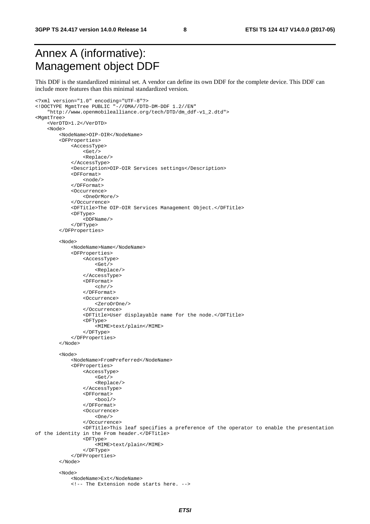**3GPP TS 24.417 version 14.0.0 Release 14 8 ETSI TS 124 417 V14.0.0 (2017-05)**

# Annex A (informative): Management object DDF

This DDF is the standardized minimal set. A vendor can define its own DDF for the complete device. This DDF can include more features than this minimal standardized version.

```
<?xml version="1.0" encoding="UTF-8"?> 
<!DOCTYPE MgmtTree PUBLIC "-//OMA//DTD-DM-DDF 1.2//EN" 
     "http://www.openmobilealliance.org/tech/DTD/dm_ddf-v1_2.dtd"> 
<MgmtTree> 
     <VerDTD>1.2</VerDTD> 
     <Node> 
          <NodeName>OIP-OIR</NodeName> 
          <DFProperties> 
              <AccessType> 
                   <Get/> 
                   <Replace/> 
              </AccessType> 
              <Description>OIP-OIR Services settings</Description> 
              <DFFormat> 
                   <node/> 
              </DFFormat> 
              <Occurrence> 
                   <OneOrMore/> 
              </Occurrence> 
              <DFTitle>The OIP-OIR Services Management Object.</DFTitle> 
              <DFType> 
                   <DDFName/> 
              </DFType> 
          </DFProperties> 
          <Node> 
               <NodeName>Name</NodeName> 
              <DFProperties> 
                   <AccessType> 
                      <Get / <Replace/> 
                   </AccessType> 
                   <DFFormat> 
                      <chr/ </DFFormat> 
                   <Occurrence> 
                       <ZeroOrOne/> 
                   </Occurrence> 
                   <DFTitle>User displayable name for the node.</DFTitle> 
                   <DFType> 
                       <MIME>text/plain</MIME> 
                   </DFType> 
              </DFProperties> 
          </Node> 
          <Node> 
              <NodeName>FromPreferred</NodeName> 
              <DFProperties> 
                   <AccessType> 
                      <Get/> 
                       <Replace/> 
                   </AccessType> 
                   <DFFormat> 
                      <boo1/ </DFFormat> 
                   <Occurrence> 
                      <One/>
                   </Occurrence> 
                   <DFTitle>This leaf specifies a preference of the operator to enable the presentation 
of the identity in the From header.</DFTitle> 
                   <DFType> 
                       <MIME>text/plain</MIME> 
                   </DFType> 
              </DFProperties> 
          </Node> 
          <Node> 
              <NodeName>Ext</NodeName> 
              <!-- The Extension node starts here. -->
```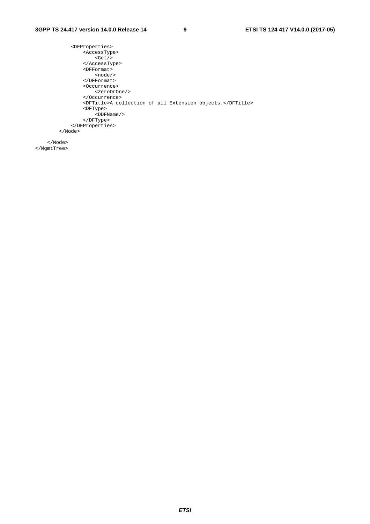```
 <DFProperties> 
         <AccessType> 
            \frac{1}{\text{det}} </AccessType> 
          <DFFormat> 
              <node/> 
          </DFFormat> 
          <Occurrence> 
              <ZeroOrOne/> 
          </Occurrence> 
          <DFTitle>A collection of all Extension objects.</DFTitle> 
          <DFType> 
              <DDFName/> 
          </DFType> 
     </DFProperties> 
 </Node>
```
 </Node> </MgmtTree>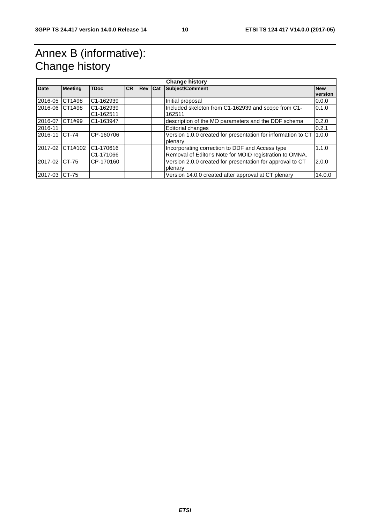# Annex B (informative): Change history

| <b>Change history</b> |                |                        |           |         |  |                                                              |            |
|-----------------------|----------------|------------------------|-----------|---------|--|--------------------------------------------------------------|------------|
| <b>Date</b>           | <b>Meeting</b> | <b>TDoc</b>            | <b>CR</b> | Rev Cat |  | Subject/Comment                                              | <b>New</b> |
|                       |                |                        |           |         |  |                                                              | version    |
| 2016-05               | CT1#98         | C1-162939              |           |         |  | Initial proposal                                             | 0.0.0      |
| 2016-06 CT1#98        |                | C1-162939              |           |         |  | Included skeleton from C1-162939 and scope from C1-          | 0.1.0      |
|                       |                | C1-162511              |           |         |  | 162511                                                       |            |
| 2016-07               | CT1#99         | C <sub>1</sub> -163947 |           |         |  | description of the MO parameters and the DDF schema          | 0.2.0      |
| 2016-11               |                |                        |           |         |  | <b>Editorial changes</b>                                     | 0.2.1      |
| 2016-11               | $CT-74$        | CP-160706              |           |         |  | Version 1.0.0 created for presentation for information to CT | 1.0.0      |
|                       |                |                        |           |         |  | plenary                                                      |            |
| 2017-02               | CT1#102        | C <sub>1</sub> -170616 |           |         |  | Incorporating correction to DDF and Access type              | 1.1.0      |
|                       |                | C1-171066              |           |         |  | Removal of Editor's Note for MOID registration to OMNA.      |            |
| 2017-02 CT-75         |                | CP-170160              |           |         |  | Version 2.0.0 created for presentation for approval to CT    | 2.0.0      |
|                       |                |                        |           |         |  | plenary                                                      |            |
| 2017-03 ICT-75        |                |                        |           |         |  | Version 14.0.0 created after approval at CT plenary          | 14.0.0     |